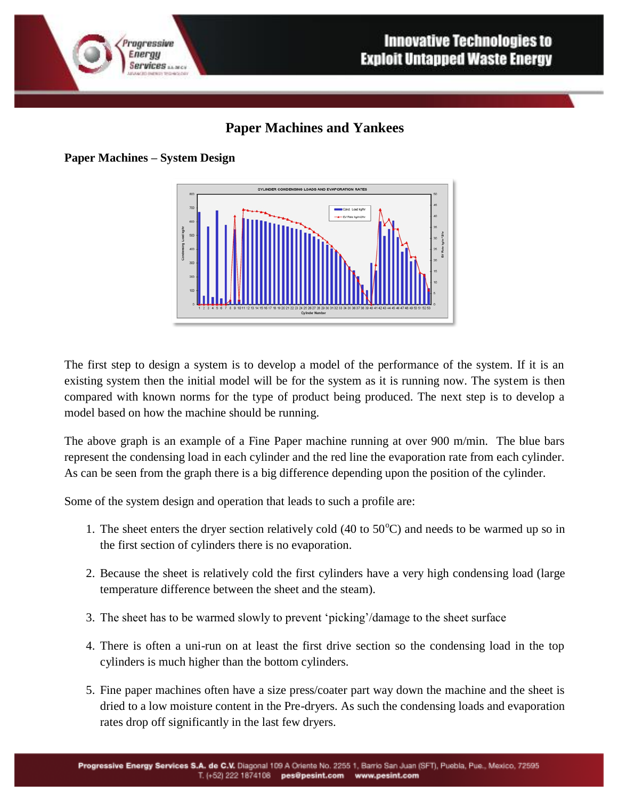

## **Paper Machines and Yankees**

**Paper Machines – System Design**



The first step to design a system is to develop a model of the performance of the system. If it is an existing system then the initial model will be for the system as it is running now. The system is then compared with known norms for the type of product being produced. The next step is to develop a model based on how the machine should be running.

The above graph is an example of a Fine Paper machine running at over 900 m/min. The blue bars represent the condensing load in each cylinder and the red line the evaporation rate from each cylinder. As can be seen from the graph there is a big difference depending upon the position of the cylinder.

Some of the system design and operation that leads to such a profile are:

- 1. The sheet enters the dryer section relatively cold  $(40 \text{ to } 50^{\circ}C)$  and needs to be warmed up so in the first section of cylinders there is no evaporation.
- 2. Because the sheet is relatively cold the first cylinders have a very high condensing load (large temperature difference between the sheet and the steam).
- 3. The sheet has to be warmed slowly to prevent 'picking'/damage to the sheet surface
- 4. There is often a uni-run on at least the first drive section so the condensing load in the top cylinders is much higher than the bottom cylinders.
- 5. Fine paper machines often have a size press/coater part way down the machine and the sheet is dried to a low moisture content in the Pre-dryers. As such the condensing loads and evaporation rates drop off significantly in the last few dryers.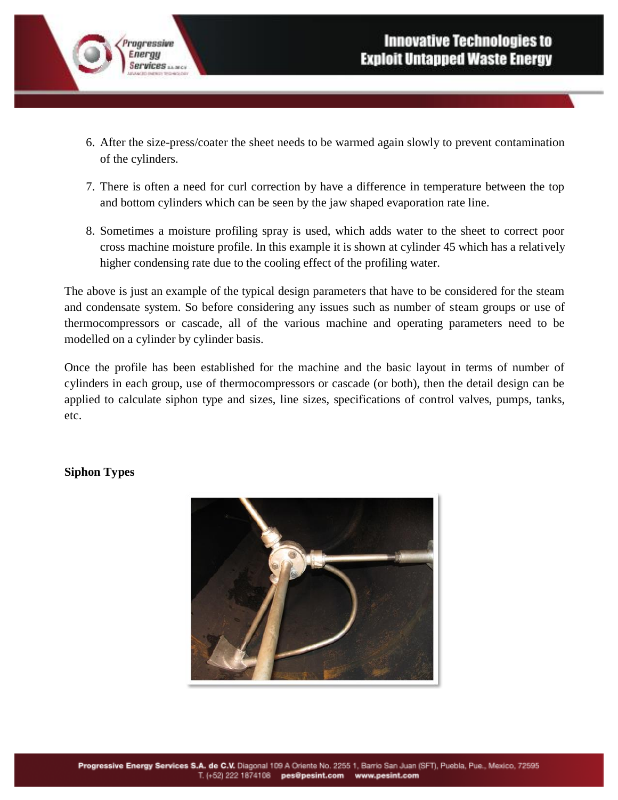- 6. After the size-press/coater the sheet needs to be warmed again slowly to prevent contamination of the cylinders.
- 7. There is often a need for curl correction by have a difference in temperature between the top and bottom cylinders which can be seen by the jaw shaped evaporation rate line.
- 8. Sometimes a moisture profiling spray is used, which adds water to the sheet to correct poor cross machine moisture profile. In this example it is shown at cylinder 45 which has a relatively higher condensing rate due to the cooling effect of the profiling water.

The above is just an example of the typical design parameters that have to be considered for the steam and condensate system. So before considering any issues such as number of steam groups or use of thermocompressors or cascade, all of the various machine and operating parameters need to be modelled on a cylinder by cylinder basis.

Once the profile has been established for the machine and the basic layout in terms of number of cylinders in each group, use of thermocompressors or cascade (or both), then the detail design can be applied to calculate siphon type and sizes, line sizes, specifications of control valves, pumps, tanks, etc.

## **Siphon Types**

rogressive Energy

**Services** *MARCH* 

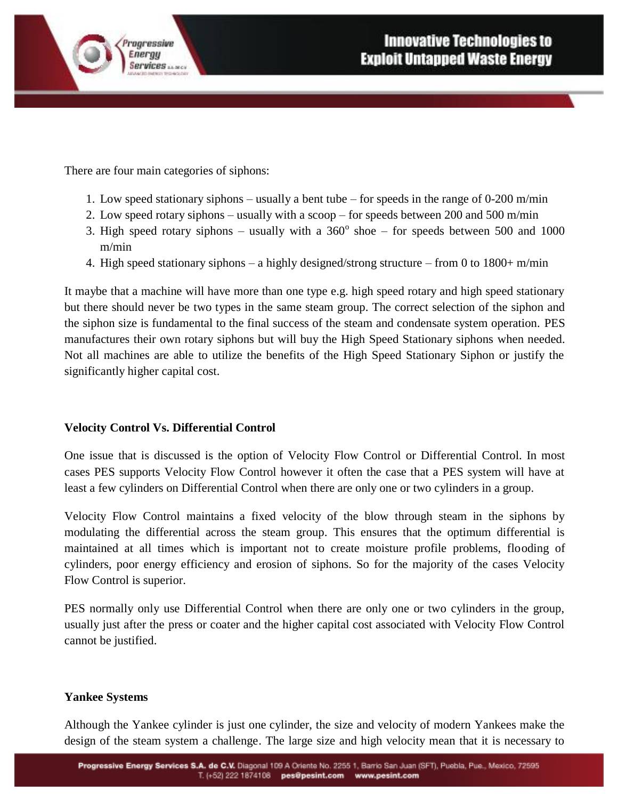

There are four main categories of siphons:

- 1. Low speed stationary siphons usually a bent tube for speeds in the range of 0-200 m/min
- 2. Low speed rotary siphons usually with a scoop for speeds between 200 and 500 m/min
- 3. High speed rotary siphons usually with a  $360^{\circ}$  shoe for speeds between 500 and 1000 m/min
- 4. High speed stationary siphons a highly designed/strong structure from 0 to 1800+ m/min

It maybe that a machine will have more than one type e.g. high speed rotary and high speed stationary but there should never be two types in the same steam group. The correct selection of the siphon and the siphon size is fundamental to the final success of the steam and condensate system operation. PES manufactures their own rotary siphons but will buy the High Speed Stationary siphons when needed. Not all machines are able to utilize the benefits of the High Speed Stationary Siphon or justify the significantly higher capital cost.

## **Velocity Control Vs. Differential Control**

One issue that is discussed is the option of Velocity Flow Control or Differential Control. In most cases PES supports Velocity Flow Control however it often the case that a PES system will have at least a few cylinders on Differential Control when there are only one or two cylinders in a group.

Velocity Flow Control maintains a fixed velocity of the blow through steam in the siphons by modulating the differential across the steam group. This ensures that the optimum differential is maintained at all times which is important not to create moisture profile problems, flooding of cylinders, poor energy efficiency and erosion of siphons. So for the majority of the cases Velocity Flow Control is superior.

PES normally only use Differential Control when there are only one or two cylinders in the group, usually just after the press or coater and the higher capital cost associated with Velocity Flow Control cannot be justified.

## **Yankee Systems**

Although the Yankee cylinder is just one cylinder, the size and velocity of modern Yankees make the design of the steam system a challenge. The large size and high velocity mean that it is necessary to